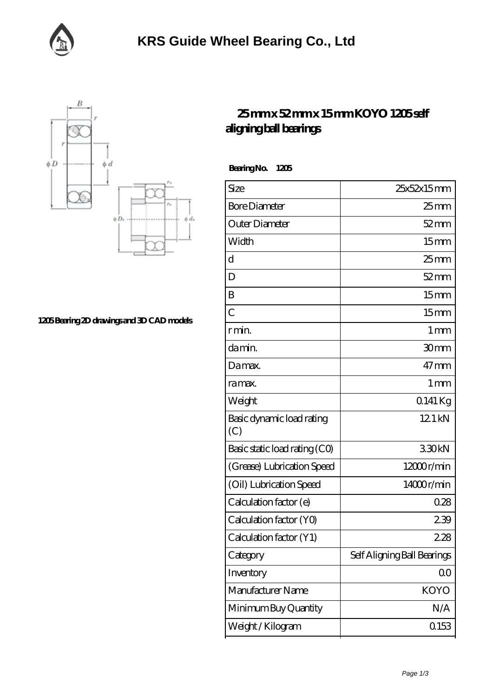



**[1205 Bearing 2D drawings and 3D CAD models](https://facebook-desktop.com/pic-101472.html)**

## **[25 mm x 52 mm x 15 mm KOYO 1205 self](https://facebook-desktop.com/at-101472-koyo-1205-self-aligning-ball-bearings.html) [aligning ball bearings](https://facebook-desktop.com/at-101472-koyo-1205-self-aligning-ball-bearings.html)**

 **Bearing No. 1205**

| Size                             | 25x52x15mm                  |
|----------------------------------|-----------------------------|
| <b>Bore Diameter</b>             | $25$ <sub>mm</sub>          |
| Outer Diameter                   | $52 \, \mathrm{mm}$         |
| Width                            | 15 <sub>mm</sub>            |
| d                                | $25$ mm                     |
| D                                | $52$ mm                     |
| B                                | 15mm                        |
| $\overline{C}$                   | 15 <sub>mm</sub>            |
| r min.                           | $1 \,\mathrm{mm}$           |
| damin.                           | 30mm                        |
| Damax.                           | $47$ mm                     |
| ra max.                          | 1 <sub>mm</sub>             |
| Weight                           | 0.141 Kg                    |
| Basic dynamic load rating<br>(C) | 12.1 kN                     |
| Basic static load rating (CO)    | 330kN                       |
| (Grease) Lubrication Speed       | $12000$ r/min               |
| (Oil) Lubrication Speed          | 14000r/min                  |
| Calculation factor (e)           | 028                         |
| Calculation factor (YO)          | 239                         |
| Calculation factor (Y1)          | 228                         |
| Category                         | Self Aligning Ball Bearings |
| Inventory                        | 0 <sup>0</sup>              |
| Manufacturer Name                | <b>KOYO</b>                 |
| Minimum Buy Quantity             | N/A                         |
| Weight / Kilogram                | 0.153                       |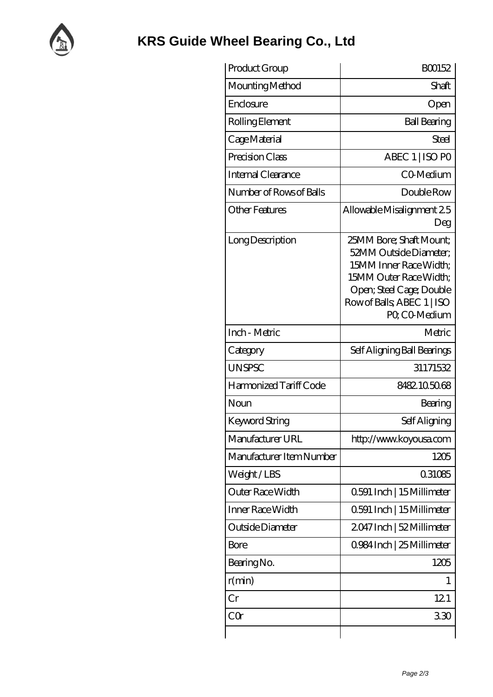

| Product Group            | BO0152                                                                                                                                                                           |
|--------------------------|----------------------------------------------------------------------------------------------------------------------------------------------------------------------------------|
| Mounting Method          | Shaft                                                                                                                                                                            |
| Enclosure                | Open                                                                                                                                                                             |
| Rolling Element          | <b>Ball Bearing</b>                                                                                                                                                              |
| Cage Material            | Steel                                                                                                                                                                            |
| Precision Class          | ABEC 1   ISO PO                                                                                                                                                                  |
| Internal Clearance       | CO-Medium                                                                                                                                                                        |
| Number of Rows of Balls  | Double Row                                                                                                                                                                       |
| <b>Other Features</b>    | Allowable Misalignment 25<br>Deg                                                                                                                                                 |
| Long Description         | 25MM Bore; Shaft Mount;<br>52MM Outside Diameter:<br>15MM Inner Race Width:<br>15MM Outer Race Width;<br>Open; Steel Cage; Double<br>Row of Balls, ABEC 1   ISO<br>PO, CO-Medium |
| Inch - Metric            | Metric                                                                                                                                                                           |
| Category                 | Self Aligning Ball Bearings                                                                                                                                                      |
| <b>UNSPSC</b>            | 31171532                                                                                                                                                                         |
| Harmonized Tariff Code   | 8482105068                                                                                                                                                                       |
| Noun                     | Bearing                                                                                                                                                                          |
| <b>Keyword String</b>    | Self Aligning                                                                                                                                                                    |
| Manufacturer URL         | http://www.koyousa.com                                                                                                                                                           |
| Manufacturer Item Number | 1205                                                                                                                                                                             |
| Weight/LBS               | 0.31085                                                                                                                                                                          |
| Outer Race Width         | 0.591 Inch   15 Millimeter                                                                                                                                                       |
| Inner Race Width         | 0.591 Inch   15 Millimeter                                                                                                                                                       |
| Outside Diameter         | 2047 Inch   52 Millimeter                                                                                                                                                        |
| Bore                     | 0.984 Inch   25 Millimeter                                                                                                                                                       |
| Bearing No.              | 1205                                                                                                                                                                             |
| r(min)                   | 1                                                                                                                                                                                |
| Cr                       | 121                                                                                                                                                                              |
| CQr                      | 330                                                                                                                                                                              |
|                          |                                                                                                                                                                                  |